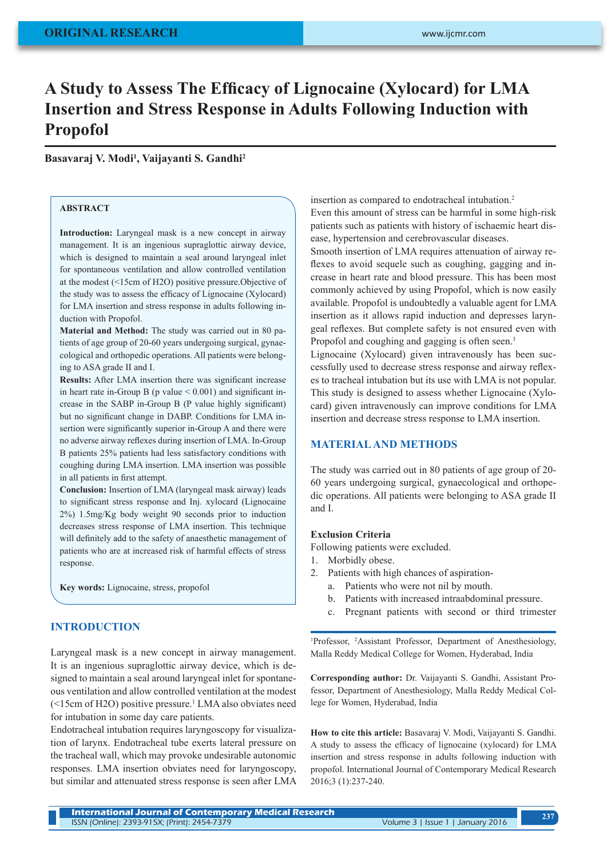# **A Study to Assess The Efficacy of Lignocaine (Xylocard) for LMA Insertion and Stress Response in Adults Following Induction with Propofol**

## **Basavaraj V. Modi<sup>1</sup> , Vaijayanti S. Gandhi<sup>2</sup>**

#### **ABSTRACT**

**Introduction:** Laryngeal mask is a new concept in airway management. It is an ingenious supraglottic airway device, which is designed to maintain a seal around laryngeal inlet for spontaneous ventilation and allow controlled ventilation at the modest (<15cm of H2O) positive pressure.Objective of the study was to assess the efficacy of Lignocaine (Xylocard) for LMA insertion and stress response in adults following induction with Propofol.

**Material and Method:** The study was carried out in 80 patients of age group of 20-60 years undergoing surgical, gynaecological and orthopedic operations. All patients were belonging to ASA grade II and I.

**Results:** After LMA insertion there was significant increase in heart rate in-Group B ( $p$  value  $< 0.001$ ) and significant increase in the SABP in-Group B (P value highly significant) but no significant change in DABP. Conditions for LMA insertion were significantly superior in-Group A and there were no adverse airway reflexes during insertion of LMA. In-Group B patients 25% patients had less satisfactory conditions with coughing during LMA insertion. LMA insertion was possible in all patients in first attempt.

**Conclusion:** Insertion of LMA (laryngeal mask airway) leads to significant stress response and Inj. xylocard (Lignocaine 2%) 1.5mg/Kg body weight 90 seconds prior to induction decreases stress response of LMA insertion. This technique will definitely add to the safety of anaesthetic management of patients who are at increased risk of harmful effects of stress response.

**Key words:** Lignocaine, stress, propofol

#### **INTRODUCTION**

Laryngeal mask is a new concept in airway management. It is an ingenious supraglottic airway device, which is designed to maintain a seal around laryngeal inlet for spontaneous ventilation and allow controlled ventilation at the modest (<15cm of H2O) positive pressure.<sup>1</sup> LMA also obviates need for intubation in some day care patients.

Endotracheal intubation requires laryngoscopy for visualization of larynx. Endotracheal tube exerts lateral pressure on the tracheal wall, which may provoke undesirable autonomic responses. LMA insertion obviates need for laryngoscopy, but similar and attenuated stress response is seen after LMA

insertion as compared to endotracheal intubation.<sup>2</sup> Even this amount of stress can be harmful in some high-risk patients such as patients with history of ischaemic heart disease, hypertension and cerebrovascular diseases.

Smooth insertion of LMA requires attenuation of airway reflexes to avoid sequele such as coughing, gagging and increase in heart rate and blood pressure. This has been most commonly achieved by using Propofol, which is now easily available. Propofol is undoubtedly a valuable agent for LMA insertion as it allows rapid induction and depresses laryngeal reflexes. But complete safety is not ensured even with Propofol and coughing and gagging is often seen.<sup>3</sup>

Lignocaine (Xylocard) given intravenously has been successfully used to decrease stress response and airway reflexes to tracheal intubation but its use with LMA is not popular. This study is designed to assess whether Lignocaine (Xylocard) given intravenously can improve conditions for LMA insertion and decrease stress response to LMA insertion.

## **MATERIAL AND METHODS**

The study was carried out in 80 patients of age group of 20- 60 years undergoing surgical, gynaecological and orthopedic operations. All patients were belonging to ASA grade II and I.

#### **Exclusion Criteria**

Following patients were excluded.

- 1. Morbidly obese.
- 2. Patients with high chances of aspiration
	- a. Patients who were not nil by mouth.
	- b. Patients with increased intraabdominal pressure.
	- c. Pregnant patients with second or third trimester

<sup>1</sup>Professor, <sup>2</sup>Assistant Professor, Department of Anesthesiology, Malla Reddy Medical College for Women, Hyderabad, India

**Corresponding author:** Dr. Vaijayanti S. Gandhi, Assistant Professor, Department of Anesthesiology, Malla Reddy Medical College for Women, Hyderabad, India

**How to cite this article:** Basavaraj V. Modi, Vaijayanti S. Gandhi. A study to assess the efficacy of lignocaine (xylocard) for LMA insertion and stress response in adults following induction with propofol. International Journal of Contemporary Medical Research 2016;3 (1):237-240.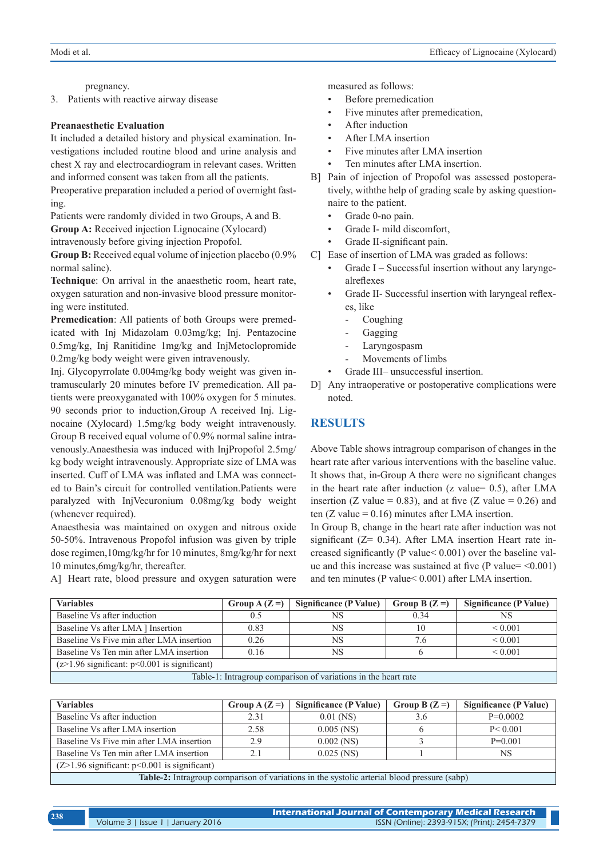pregnancy.

3. Patients with reactive airway disease

#### **Preanaesthetic Evaluation**

It included a detailed history and physical examination. Investigations included routine blood and urine analysis and chest X ray and electrocardiogram in relevant cases. Written and informed consent was taken from all the patients.

Preoperative preparation included a period of overnight fasting.

Patients were randomly divided in two Groups, A and B. **Group A:** Received injection Lignocaine (Xylocard)

intravenously before giving injection Propofol.

**Group B:** Received equal volume of injection placebo (0.9% normal saline).

**Technique**: On arrival in the anaesthetic room, heart rate, oxygen saturation and non-invasive blood pressure monitoring were instituted.

**Premedication**: All patients of both Groups were premedicated with Inj Midazolam 0.03mg/kg; Inj. Pentazocine 0.5mg/kg, Inj Ranitidine 1mg/kg and InjMetoclopromide 0.2mg/kg body weight were given intravenously.

Inj. Glycopyrrolate 0.004mg/kg body weight was given intramuscularly 20 minutes before IV premedication. All patients were preoxyganated with 100% oxygen for 5 minutes. 90 seconds prior to induction,Group A received Inj. Lignocaine (Xylocard) 1.5mg/kg body weight intravenously. Group B received equal volume of 0.9% normal saline intravenously.Anaesthesia was induced with InjPropofol 2.5mg/ kg body weight intravenously. Appropriate size of LMA was inserted. Cuff of LMA was inflated and LMA was connected to Bain's circuit for controlled ventilation.Patients were paralyzed with InjVecuronium 0.08mg/kg body weight (whenever required).

Anaesthesia was maintained on oxygen and nitrous oxide 50-50%. Intravenous Propofol infusion was given by triple dose regimen,10mg/kg/hr for 10 minutes, 8mg/kg/hr for next 10 minutes,6mg/kg/hr, thereafter.

A] Heart rate, blood pressure and oxygen saturation were

measured as follows:

- Before premedication
- Five minutes after premedication.
- After induction
- After LMA insertion
- Five minutes after LMA insertion
- Ten minutes after LMA insertion.
- B] Pain of injection of Propofol was assessed postoperatively, withthe help of grading scale by asking questionnaire to the patient.
	- Grade 0-no pain.
	- Grade I- mild discomfort,
	- Grade II-significant pain.
- C] Ease of insertion of LMA was graded as follows:
	- Grade I Successful insertion without any laryngealreflexes
	- Grade II- Successful insertion with laryngeal reflexes, like
		- **Coughing**
		- **Gagging**
		- Laryngospasm
		- Movements of limbs
	- Grade III– unsuccessful insertion.
- D] Any intraoperative or postoperative complications were noted.

## **RESULTS**

Above Table shows intragroup comparison of changes in the heart rate after various interventions with the baseline value. It shows that, in-Group A there were no significant changes in the heart rate after induction  $(z \text{ value} = 0.5)$ , after LMA insertion (Z value = 0.83), and at five (Z value = 0.26) and ten (Z value =  $0.16$ ) minutes after LMA insertion.

In Group B, change in the heart rate after induction was not significant (Z= 0.34). After LMA insertion Heart rate increased significantly (P value< 0.001) over the baseline value and this increase was sustained at five (P value=  $\leq 0.001$ ) and ten minutes (P value< 0.001) after LMA insertion.

| <b>Variables</b>                                              | Group $A(Z=)$ | Significance (P Value) | Group B $(Z =)$ | Significance (P Value) |
|---------------------------------------------------------------|---------------|------------------------|-----------------|------------------------|
| Baseline Vs after induction                                   | 0.5           | NS                     | 0.34            | NS                     |
| Baseline Vs after LMA   Insertion                             | 0.83          | <b>NS</b>              | 10              | ${}< 0.001$            |
| Baseline Vs Five min after LMA insertion                      | 0.26          | <b>NS</b>              | 7.6             | ${}< 0.001$            |
| Baseline Vs Ten min after LMA insertion                       | 0.16          | <b>NS</b>              |                 | ${}_{0.001}$           |
| $(z>1.96$ significant: $p<0.001$ is significant)              |               |                        |                 |                        |
| Toble 1. Introgram comparison of veristions in the boart rate |               |                        |                 |                        |

-1: Intragroup comparison of variations in the heart rat

| <b>Variables</b>                                                                            | Group $A(Z=)$ | Significance (P Value) | Group B $(Z =)$ | Significance (P Value) |
|---------------------------------------------------------------------------------------------|---------------|------------------------|-----------------|------------------------|
| Baseline Vs after induction                                                                 | 2.31          | $0.01$ (NS)            | 3.6             | $P=0.0002$             |
| Baseline Vs after LMA insertion                                                             | 2.58          | $0.005$ (NS)           |                 | P < 0.001              |
| Baseline Vs Five min after LMA insertion                                                    | 2.9           | $0.002$ (NS)           |                 | $P=0.001$              |
| Baseline Vs Ten min after LMA insertion                                                     | 2.1           | $0.025$ (NS)           |                 | NS                     |
| $(Z>1.96$ significant: $p<0.001$ is significant)                                            |               |                        |                 |                        |
| Table-2: Intragroup comparison of variations in the systolic arterial blood pressure (sabp) |               |                        |                 |                        |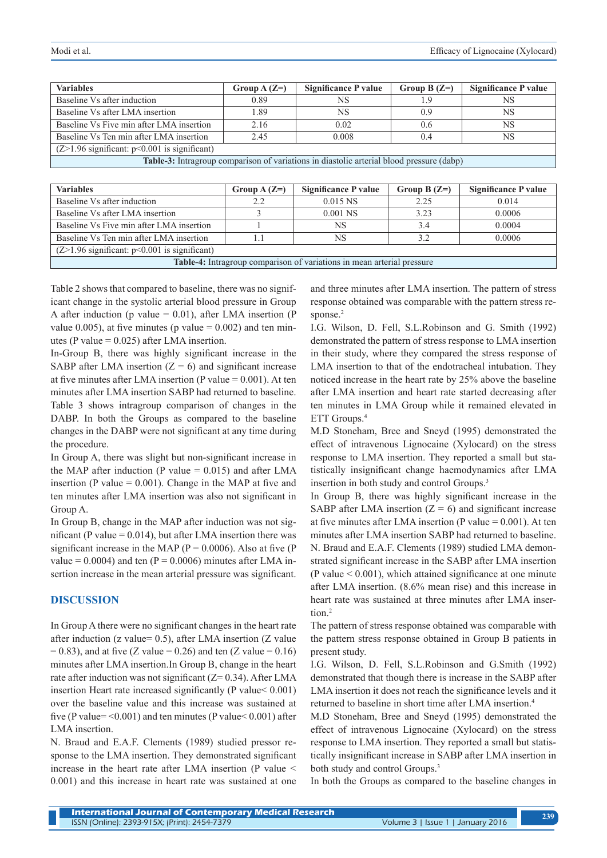| <b>Variables</b>                                                                                | Group $A(Z=)$ | Significance P value | Group B $(Z=)$ | <b>Significance P value</b> |
|-------------------------------------------------------------------------------------------------|---------------|----------------------|----------------|-----------------------------|
| Baseline Vs after induction                                                                     | 0.89          | NS.                  | 19             | NS                          |
| Baseline Vs after LMA insertion                                                                 | 1.89          | NS                   | 0.9            | NS                          |
| Baseline Vs Five min after LMA insertion                                                        | 2.16          | 0.02                 | 0.6            | <b>NS</b>                   |
| Baseline Vs Ten min after LMA insertion                                                         | 2.45          | 0.008                | 0.4            | NS                          |
| $(Z>1.96$ significant: $p<0.001$ is significant)                                                |               |                      |                |                             |
| <b>Table-3:</b> Intragroup comparison of variations in diastolic arterial blood pressure (dabp) |               |                      |                |                             |

| <b>Variables</b>                                                       | Group $A(Z=)$ | Significance P value | Group B $(Z=)$ | Significance P value |
|------------------------------------------------------------------------|---------------|----------------------|----------------|----------------------|
| Baseline Vs after induction                                            | 2.2           | $0.015$ NS           | 2.25           | 0.014                |
| Baseline Vs after LMA insertion                                        |               | $0.001$ NS           | 3.23           | 0.0006               |
| Baseline Vs Five min after LMA insertion                               |               | NS                   | 3.4            | 0.0004               |
| Baseline Vs Ten min after LMA insertion                                |               | <b>NS</b>            | 32             | 0.0006               |
| $(Z>1.96$ significant: $p<0.001$ is significant)                       |               |                      |                |                      |
| Table-4: Intragroup comparison of variations in mean arterial pressure |               |                      |                |                      |

Table 2 shows that compared to baseline, there was no significant change in the systolic arterial blood pressure in Group A after induction (p value  $= 0.01$ ), after LMA insertion (P value 0.005), at five minutes (p value  $= 0.002$ ) and ten minutes (P value =  $0.025$ ) after LMA insertion.

In-Group B, there was highly significant increase in the SABP after LMA insertion  $(Z = 6)$  and significant increase at five minutes after LMA insertion (P value  $= 0.001$ ). At ten minutes after LMA insertion SABP had returned to baseline. Table 3 shows intragroup comparison of changes in the DABP. In both the Groups as compared to the baseline changes in the DABP were not significant at any time during the procedure.

In Group A, there was slight but non-significant increase in the MAP after induction (P value  $= 0.015$ ) and after LMA insertion (P value  $= 0.001$ ). Change in the MAP at five and ten minutes after LMA insertion was also not significant in Group A.

In Group B, change in the MAP after induction was not significant (P value =  $0.014$ ), but after LMA insertion there was significant increase in the MAP ( $P = 0.0006$ ). Also at five ( $P = 0.0006$ ) value =  $0.0004$ ) and ten (P =  $0.0006$ ) minutes after LMA insertion increase in the mean arterial pressure was significant.

## **DISCUSSION**

In Group A there were no significant changes in the heart rate after induction (z value= 0.5), after LMA insertion (Z value  $= 0.83$ ), and at five (Z value  $= 0.26$ ) and ten (Z value  $= 0.16$ ) minutes after LMA insertion.In Group B, change in the heart rate after induction was not significant  $(Z= 0.34)$ . After LMA insertion Heart rate increased significantly (P value< 0.001) over the baseline value and this increase was sustained at five (P value= $\leq 0.001$ ) and ten minutes (P value $\leq 0.001$ ) after LMA insertion.

N. Braud and E.A.F. Clements (1989) studied pressor response to the LMA insertion. They demonstrated significant increase in the heart rate after LMA insertion (P value < 0.001) and this increase in heart rate was sustained at one and three minutes after LMA insertion. The pattern of stress response obtained was comparable with the pattern stress response.<sup>2</sup>

I.G. Wilson, D. Fell, S.L.Robinson and G. Smith (1992) demonstrated the pattern of stress response to LMA insertion in their study, where they compared the stress response of LMA insertion to that of the endotracheal intubation. They noticed increase in the heart rate by 25% above the baseline after LMA insertion and heart rate started decreasing after ten minutes in LMA Group while it remained elevated in ETT Groups.<sup>4</sup>

M.D Stoneham, Bree and Sneyd (1995) demonstrated the effect of intravenous Lignocaine (Xylocard) on the stress response to LMA insertion. They reported a small but statistically insignificant change haemodynamics after LMA insertion in both study and control Groups.3

In Group B, there was highly significant increase in the SABP after LMA insertion  $(Z = 6)$  and significant increase at five minutes after LMA insertion (P value  $= 0.001$ ). At ten minutes after LMA insertion SABP had returned to baseline. N. Braud and E.A.F. Clements (1989) studied LMA demonstrated significant increase in the SABP after LMA insertion  $(P$  value  $\leq 0.001$ ), which attained significance at one minute after LMA insertion. (8.6% mean rise) and this increase in heart rate was sustained at three minutes after LMA insertion<sup>2</sup>

The pattern of stress response obtained was comparable with the pattern stress response obtained in Group B patients in present study.

I.G. Wilson, D. Fell, S.L.Robinson and G.Smith (1992) demonstrated that though there is increase in the SABP after LMA insertion it does not reach the significance levels and it returned to baseline in short time after LMA insertion.4

M.D Stoneham, Bree and Sneyd (1995) demonstrated the effect of intravenous Lignocaine (Xylocard) on the stress response to LMA insertion. They reported a small but statistically insignificant increase in SABP after LMA insertion in both study and control Groups.<sup>3</sup>

In both the Groups as compared to the baseline changes in